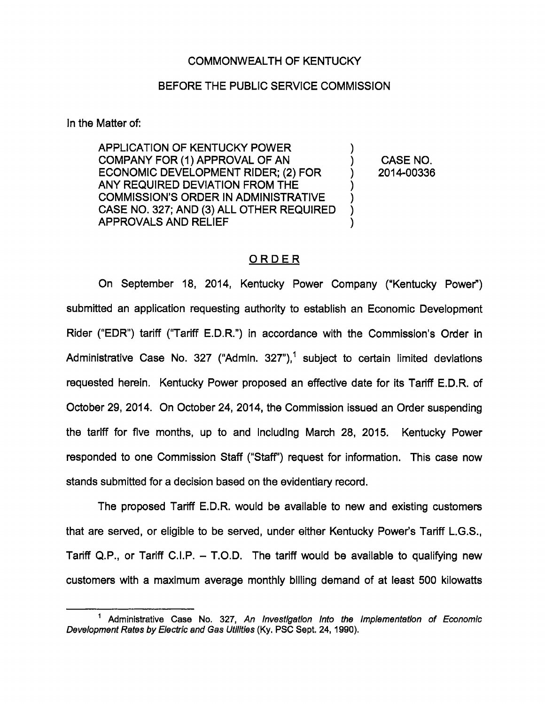#### COMMONWEALTH OF KENTUCKY

#### BEFORE THE PUBLIC SERVICE COMMISSION

In the Matter of:

APPLICATION OF KENTUCKY POWER COMPANY FOR (1) APPROVAL OF AN ) CASE NO. ECONOMIC DEVELOPMENT RIDER; (2) FOR  $\vert$  2014-00336 ANY REQUIRED DEVIATION FROM THE COMMISSION'S ORDER IN ADMINISTRATIVE CASE NO. 327; AND (3) ALL OTHER REQUIRED APPROVALS AND RELIEF

#### **ORDER**

On September 18, 2014, Kentucky Power Company ("Kentucky Power") submitted an application requesting authority to establish an Economic Development Rider ("EDR") tariff ("Tariff E.D.R.") in accordance with the Commission's Order in Administrative Case No. 327 ("Admin. 327"),<sup>1</sup> subject to certain limited deviations requested herein. Kentucky Power proposed an effective date for its Tariff E.D.R. of October 29, 2014. On October 24, 2014, the Commission issued an Order suspending the tariff for five months, up to and Including March 28, 2015. Kentucky Power responded to one Commission Staff ("Staff") request for information. This case now stands submitted for a decision based on the evidentiary record.

The proposed Tariff E.D.R. would be available to new and existing customers that are served, or eligible to be served, under either Kentucky Power's Tariff L.G.S., Tariff Q.P., or Tariff C.I.P.  $-$  T.O.D. The tariff would be available to qualifying new customers with a maximum average monthly billing demand of at least 500 kilowatts

<sup>&</sup>lt;sup>1</sup> Administrative Case No. 327, An Investigation Into the Implementation of Economic Development Rates by Electric and Gas Utilities (Ky. PSC Sept. 24, 1990).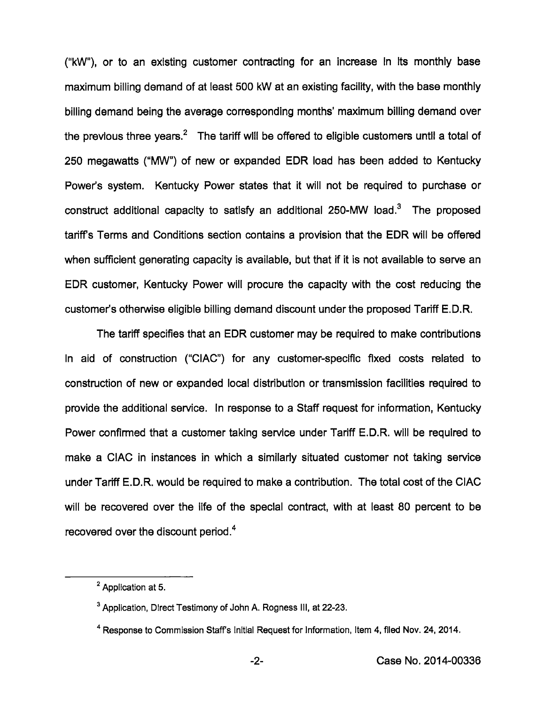("kW"), or to an existing customer contracting for an increase in its monthiy base maximum biiiing demand of at ieast 500 kW at an existing faciiity, with the base monthly billing demand being the average corresponding months' maximum billing demand over the previous three years.<sup>2</sup> The tariff will be offered to eligible customers until a total of 250 megawatts ("MW") of new or expanded EDR load has been added to Kentucky Power's system. Kentucky Power states that it will not be required to purchase or construct additional capacity to satisfy an additional 250-MW load. $3$  The proposed tariffs Terms and Conditions section contains a provision that the EDR will be offered when sufficient generating capacity is available, but that if it is not available to serve an EDR customer, Kentucky Power will procure the capacity with the cost reducing the customer's otherwise eligible biiiing demand discount under the proposed Tariff E.D.R.

The tariff specifies that an EDR customer may be required to make contributions in aid of construction ("CIAC") for any customer-specific fixed costs related to construction of new or expanded local distribution or transmission facilities required to provide the additional service, in response to a Staff request for information, Kentucky Power confirmed that a customer taking service under Tariff E.D.R. will be required to make a CIAC in instances in which a similarly situated customer not taking service under Tariff E.D.R. would be required to make a contribution. The total cost of the CIAC will be recovered over the life of the special contract, with at least 80 percent to be recovered over the discount period. $4$ 

<sup>&</sup>lt;sup>2</sup> Application at 5.

<sup>&</sup>lt;sup>3</sup> Application, Direct Testimony of John A. Rogness III, at 22-23.

<sup>&</sup>lt;sup>4</sup> Response to Commission Staff's Initial Request for Information, Item 4, filed Nov. 24, 2014.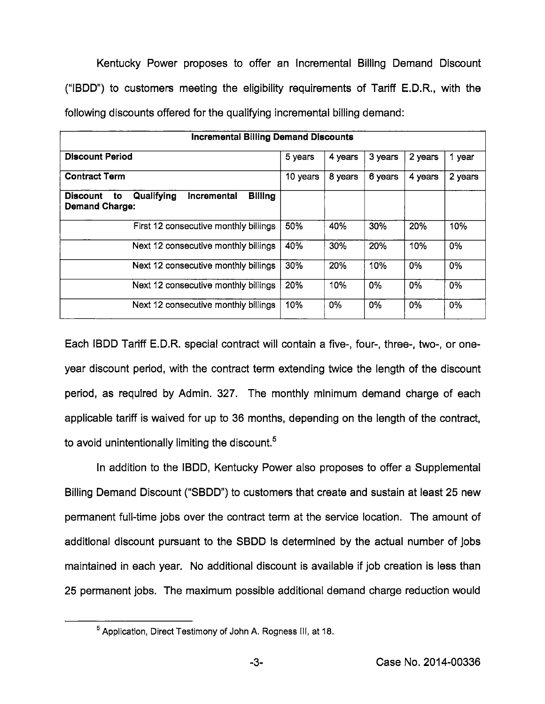Kentucky Power proposes to offer an Incremental Billing Demand Discount ("IBDD") to customers meeting the eligibility requirements of Tariff E.D.R., with the following discounts offered for the qualifying incremental billing demand:

| <b>Incremental Billing Demand Discounts</b>                                                   |          |         |         |         |         |  |
|-----------------------------------------------------------------------------------------------|----------|---------|---------|---------|---------|--|
| <b>Discount Period</b>                                                                        | 5 years  | 4 years | 3 years | 2 years | 1 year  |  |
| <b>Contract Term</b>                                                                          | 10 years | 8 years | 6 years | 4 years | 2 years |  |
| Qualifying<br>Incremental<br><b>Billing</b><br><b>Discount</b><br>to<br><b>Demand Charge:</b> |          |         |         |         |         |  |
| First 12 consecutive monthly billings                                                         | 50%      | 40%     | 30%     | 20%     | 10%     |  |
| Next 12 consecutive monthly billings                                                          | 40%      | 30%     | 20%     | 10%     | 0%      |  |
| Next 12 consecutive monthly billings                                                          | 30%      | 20%     | 10%     | 0%      | 0%      |  |
| Next 12 consecutive monthly billings                                                          | 20%      | 10%     | 0%      | 0%      | 0%      |  |
| Next 12 consecutive monthly billings                                                          | 10%      | 0%      | 0%      | 0%      | 0%      |  |

Each IBDD Tariff E.D.R. special contract will contain a five-, four-, three-, two-, or oneyear discount period, with the contract term extending twice the length of the discount period, as required by Admin. 327. The monthly minimum demand charge of each applicable tariff is waived for up to 36 months, depending on the length of the contract, to avoid unintentionally limiting the discount.<sup>5</sup>

In addition to the IBDD, Kentucky Power also proposes to offer a Supplemental Billing Demand Discount ("SBDD") to customers that create and sustain at least 25 new permanent full-time jobs over the contract term at the service location. The amount of additional discount pursuant to the SBDD Is determined by the actual number of jobs maintained in each year. No additional discount is available if job creation is less than 25 permanent jobs. The maximum possible additional demand charge reduction would

 $<sup>5</sup>$  Application, Direct Testimony of John A. Rogness III, at 18.</sup>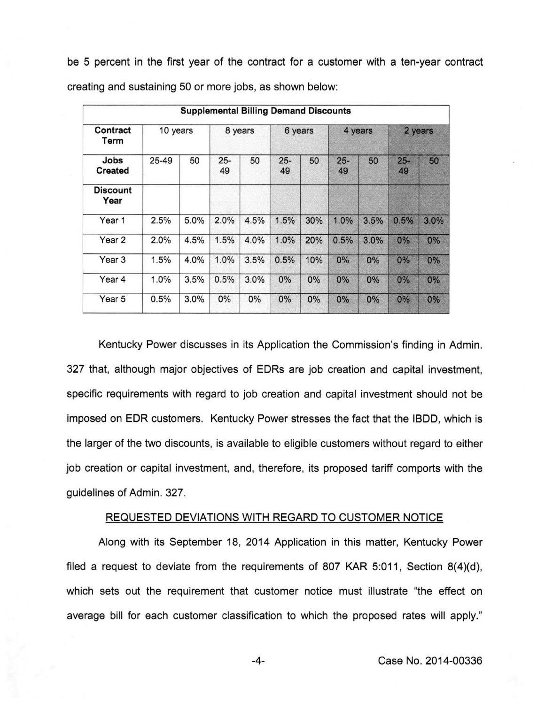be 5 percent in the first year of the contract for a customer with a ten-year contract

| <b>Supplemental Billing Demand Discounts</b> |          |      |              |         |              |     |              |      |              |      |
|----------------------------------------------|----------|------|--------------|---------|--------------|-----|--------------|------|--------------|------|
| Contract<br>Term                             | 10 years |      |              | 8 years | 6 years      |     | 4 years      |      | 2 years      |      |
| Jobs<br><b>Created</b>                       | 25-49    | 50   | $25 -$<br>49 | 50      | $25 -$<br>49 | 50  | $25 -$<br>49 | 50   | $25 -$<br>49 | 50   |
| <b>Discount</b><br>Year                      |          |      |              |         |              |     |              |      |              |      |
| Year 1                                       | 2.5%     | 5.0% | 2.0%         | 4.5%    | 1.5%         | 30% | 1.0%         | 3.5% | 0.5%         | 3.0% |
| Year 2                                       | 2.0%     | 4.5% | 1.5%         | 4.0%    | 1.0%         | 20% | 0.5%         | 3.0% | 0%           | 0%   |
| Year 3                                       | 1.5%     | 4.0% | 1.0%         | 3.5%    | 0.5%         | 10% | 0%           | 0%   | 0%           | 0%   |
| Year 4                                       | 1.0%     | 3.5% | 0.5%         | 3.0%    | 0%           | 0%  | 0%           | 0%   | $0\%$        | 0%   |
| Year 5                                       | 0.5%     | 3.0% | 0%           | 0%      | 0%           | 0%  | 0%           | 0%   | 0%           | 0%   |

creating and sustaining 50 or more jobs, as shown beiow:

Kentucky Power discusses in its Application the Commission's finding in Admin. 327 that, aithough major objectives of EDRs are job creation and capitai investment, specific requirements with regard to job creation and capital investment should not be imposed on EDR customers. Kentucky Power stresses the fact that the IBDD, which is the larger of the two discounts, is available to eligible customers without regard to either job creation or capital investment, and, therefore, its proposed tariff comports with the guidelines of Admin. 327.

#### REQUESTED DEVIATIONS WITH REGARD TO CUSTOMER NOTICE

Along with its September 18, 2014 Application in this matter, Kentucky Power filed a request to deviate from the requirements of 807 KAR 5:011, Section 8(4)(d), which sets out the requirement that customer notice must illustrate "the effect on average bill for each customer classification to which the proposed rates will apply."

 $-4-$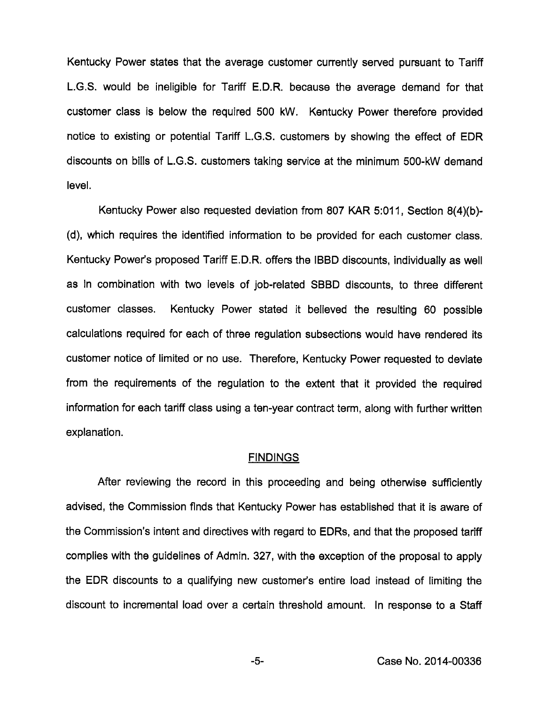Kentucky Power states that the average customer currently served pursuant to Tariff L.G.S. would be ineligible for Tariff E.D.R. because the average demand for that customer class is below the required 500 kW. Kentucky Power therefore provided notice to existing or potential Tariff L.G.S. customers by showing the effect of EDR discounts on bills of L.G.S. customers taking service at the minimum 500-kW demand level.

Kentucky Power also requested deviation from 807 KAR 5:011, Section 8(4)(b)- (d), which requires the identified information to be provided for each customer class. Kentucky Power's proposed Tariff E.D.R. offers the IBBD discounts, individually as well as In combination with two levels of job-related SBBD discounts, to three different customer classes. Kentucky Power stated it believed the resulting 60 possible calculations required for each of three regulation subsections would have rendered its customer notice of limited or no use. Therefore, Kentucky Power requested to deviate from the requirements of the regulation to the extent that it provided the required information for each tariff class using a ten-year contract term, along with further written explanation.

#### **FINDINGS**

After reviewing the record in this proceeding and being otherwise sufficiently advised, the Commission finds that Kentucky Power has established that it is aware of the Commission's intent and directives with regard to EDRs, and that the proposed tariff complies with the guidelines of Admin. 327, with the exception of the proposal to apply the EDR discounts to a qualifying new customer's entire load instead of limiting the discount to incremental load over a certain threshold amount. In response to a Staff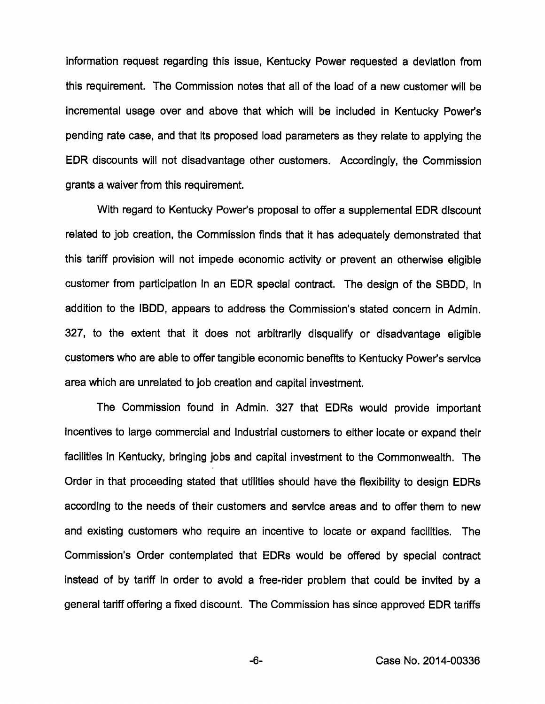information request regarding this issue, Kentucky Power requested a deviation from this requirement. The Commission notes that aii of the load of a new customer wiii be incremental usage over and above that which wiii be included in Kentucky Power's pending rate case, and that its proposed load parameters as they relate to applying the EDR discounts will not disadvantage other customers. Accordingly, the Commission grants a waiver from this requirement.

With regard to Kentucky Power's proposal to offer a supplemental EDR discount related to job creation, the Commission finds that it has adequately demonstrated that this tariff provision wiii not impede economic activity or prevent an otherwise eligible customer from participation in an EDR special contract. The design of the SBDD, in addition to the IBDD, appears to address the Commission's stated concem in Admin. 327, to the extent that it does not arbitrarily disqualify or disadvantage eligible customers who are able to offer tangible economic benefits to Kentucky Power's service area which are unrelated to job creation and capital investment.

The Commission found in Admin. 327 that EDRs would provide important incentives to large commercial and industrial customers to either locate or expand their facilities in Kentucky, bringing jobs and capital investment to the Commonwealth. The Order in that proceeding stated that utilities should have the flexibility to design EDRs according to the needs of their customers and service areas and to offer them to new and existing customers who require an incentive to locate or expand facilities. The Commission's Order contemplated that EDRs would be offered by special contract instead of by tariff in order to avoid a free-rider problem that could be invited by a general tariff offering a fixed discount. The Commission has since approved EDR tariffs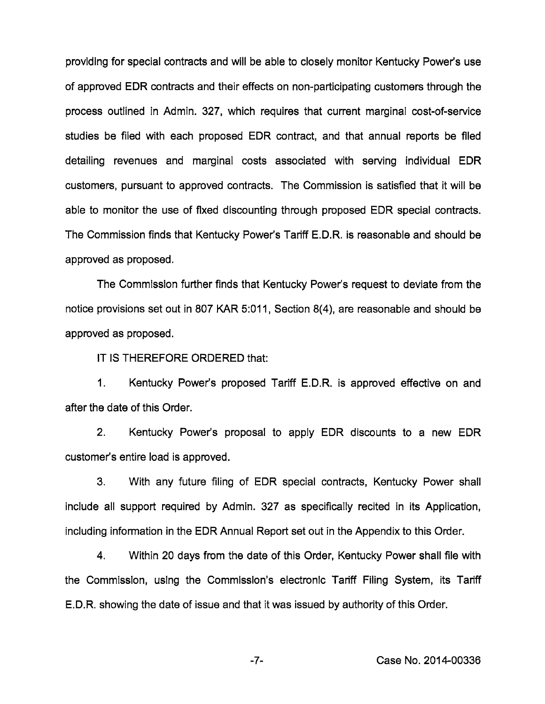providing for special contracts and will be able to closely monitor Kentucky Power's use of approved EDR contracts and their effects on non-participating customers through the process outlined in Admin. 327, which requires that current marginal cost-of-service studies be filed with each proposed EDR contract, and that annual reports be filed detailing revenues and marginal costs associated with serving individual EDR customers, pursuant to approved contracts. The Commission is satisfied that it will be able to monitor the use of fixed discounting through proposed EDR special contracts. The Commission finds that Kentucky Power's Tariff E.D.R. is reasonable and should be approved as proposed.

The Commission further finds that Kentucky Power's request to deviate from the notice provisions set out in 807 KAR 5:011, Section 8(4), are reasonable and should be approved as proposed.

IT IS THEREFORE ORDERED that:

1. Kentucky Power's proposed Tariff E.D.R. is approved effective on and after the date of this Order.

2. Kentucky Power's proposal to apply EDR discounts to a new EDR customer's entire load is approved.

3. With any future filing of EDR special contracts, Kentucky Power shall include all support required by Admin. 327 as specifically recited in its Application, including information in the EDR Annual Report set out in the Appendix to this Order.

4. Within 20 days from the date of this Order, Kentucky Power shall file with the Commission, using the Commission's electronic Tariff Filing System, its Tariff E.D.R. showing the date of issue and that it was issued by authority of this Order.

-7- Case No. 2014-00336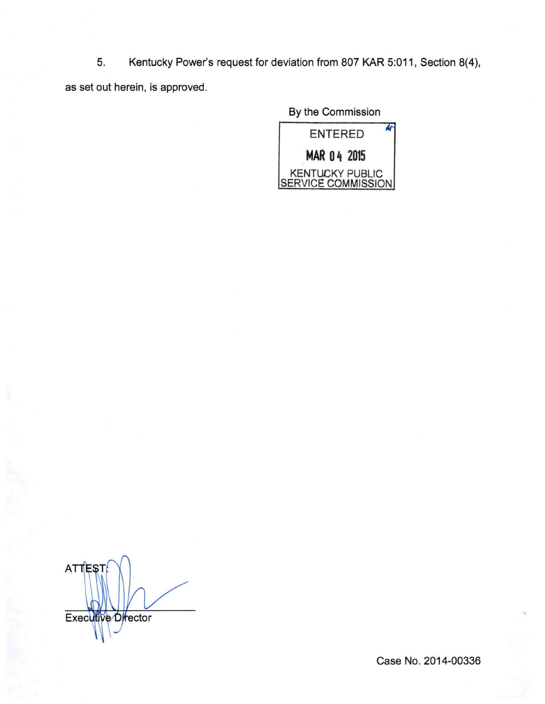5. Kentucky Power's request for deviation from 807 KAR 5:011, Section 8(4), as set out herein, is approved.

By the Commission

М ENTERED MAR 04 2015 KENTUCKY PUBLIC **ISERVICE COMMISSION** 

**ATTEST Executive Director** 

Case No. 2014-00336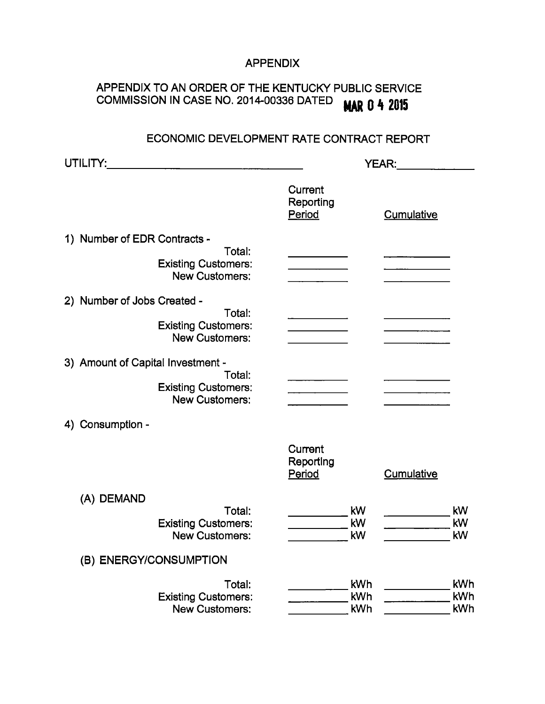### APPENDIX

# APPENDIX TO AN ORDER OF THE KENTUCKY PUBLIC SERVICE COMMISSION IN CASE NO. 2014-00336 DATED MAR 0 4 2015

## ECONOMIC DEVELOPMENT RATE CONTRACT REPORT

| UTILITY:                                                      | <b>YEAR:</b>                                                                                                                                                                                                                                                                                                                                                                                                                                           |                   |  |  |  |
|---------------------------------------------------------------|--------------------------------------------------------------------------------------------------------------------------------------------------------------------------------------------------------------------------------------------------------------------------------------------------------------------------------------------------------------------------------------------------------------------------------------------------------|-------------------|--|--|--|
|                                                               | Current<br>Reporting<br>Period                                                                                                                                                                                                                                                                                                                                                                                                                         | Cumulative        |  |  |  |
| 1) Number of EDR Contracts -                                  |                                                                                                                                                                                                                                                                                                                                                                                                                                                        |                   |  |  |  |
| Total:<br><b>Existing Customers:</b><br><b>New Customers:</b> |                                                                                                                                                                                                                                                                                                                                                                                                                                                        |                   |  |  |  |
| 2) Number of Jobs Created -                                   |                                                                                                                                                                                                                                                                                                                                                                                                                                                        |                   |  |  |  |
| Total:<br><b>Existing Customers:</b><br><b>New Customers:</b> |                                                                                                                                                                                                                                                                                                                                                                                                                                                        |                   |  |  |  |
| 3) Amount of Capital Investment -                             |                                                                                                                                                                                                                                                                                                                                                                                                                                                        |                   |  |  |  |
| Total:<br><b>Existing Customers:</b><br><b>New Customers:</b> | $\label{eq:2.1} \frac{1}{\sqrt{2}}\left(\frac{1}{\sqrt{2}}\right)^{2} \left(\frac{1}{\sqrt{2}}\right)^{2} \left(\frac{1}{\sqrt{2}}\right)^{2} \left(\frac{1}{\sqrt{2}}\right)^{2} \left(\frac{1}{\sqrt{2}}\right)^{2} \left(\frac{1}{\sqrt{2}}\right)^{2} \left(\frac{1}{\sqrt{2}}\right)^{2} \left(\frac{1}{\sqrt{2}}\right)^{2} \left(\frac{1}{\sqrt{2}}\right)^{2} \left(\frac{1}{\sqrt{2}}\right)^{2} \left(\frac{1}{\sqrt{2}}\right)^{2} \left(\$ |                   |  |  |  |
| 4) Consumption -                                              |                                                                                                                                                                                                                                                                                                                                                                                                                                                        |                   |  |  |  |
|                                                               | Current<br>Reporting<br>Period                                                                                                                                                                                                                                                                                                                                                                                                                         | <b>Cumulative</b> |  |  |  |
| (A) DEMAND                                                    |                                                                                                                                                                                                                                                                                                                                                                                                                                                        |                   |  |  |  |
| Total:<br><b>Existing Customers:</b><br><b>New Customers:</b> | kW<br>kW<br>kW                                                                                                                                                                                                                                                                                                                                                                                                                                         | kW<br>kW<br>kW    |  |  |  |
| (B) ENERGY/CONSUMPTION                                        |                                                                                                                                                                                                                                                                                                                                                                                                                                                        |                   |  |  |  |
| Total:<br><b>Existing Customers:</b><br><b>New Customers:</b> | <b>kWh</b><br>kWh<br>kWh                                                                                                                                                                                                                                                                                                                                                                                                                               | kWh<br>kWh<br>kWh |  |  |  |